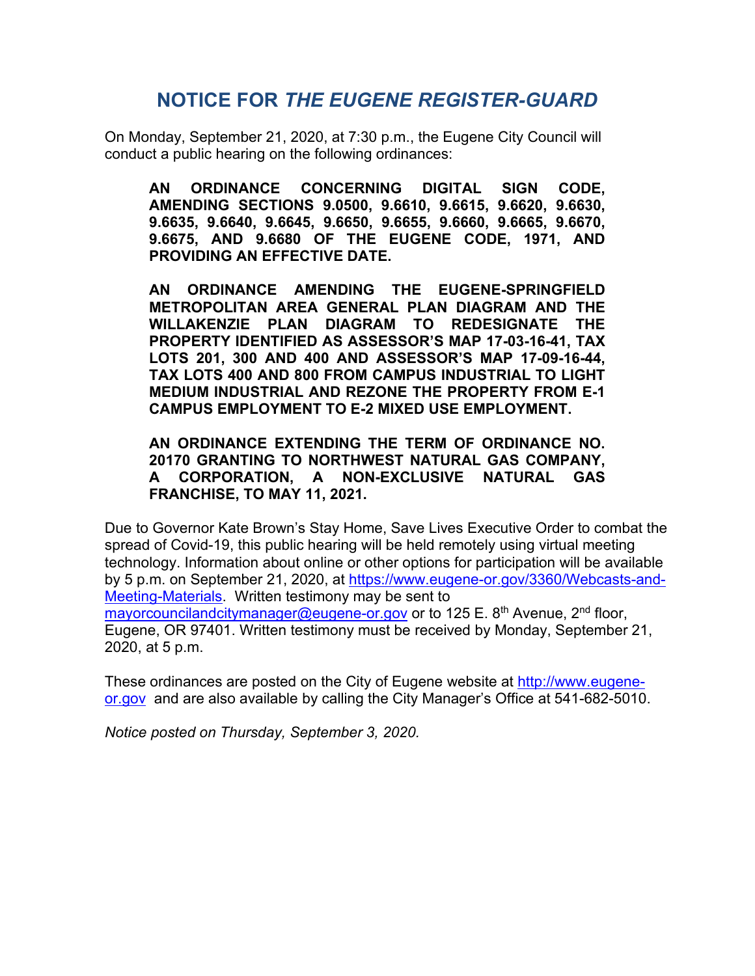# **NOTICE FOR** *THE EUGENE REGISTER-GUARD*

On Monday, September 21, 2020, at 7:30 p.m., the Eugene City Council will conduct a public hearing on the following ordinances:

**AN ORDINANCE CONCERNING DIGITAL SIGN CODE, AMENDING SECTIONS 9.0500, 9.6610, 9.6615, 9.6620, 9.6630, 9.6635, 9.6640, 9.6645, 9.6650, 9.6655, 9.6660, 9.6665, 9.6670, 9.6675, AND 9.6680 OF THE EUGENE CODE, 1971, AND PROVIDING AN EFFECTIVE DATE.**

**AN ORDINANCE AMENDING THE EUGENE-SPRINGFIELD METROPOLITAN AREA GENERAL PLAN DIAGRAM AND THE WILLAKENZIE PLAN DIAGRAM TO REDESIGNATE THE PROPERTY IDENTIFIED AS ASSESSOR'S MAP 17-03-16-41, TAX LOTS 201, 300 AND 400 AND ASSESSOR'S MAP 17-09-16-44, TAX LOTS 400 AND 800 FROM CAMPUS INDUSTRIAL TO LIGHT MEDIUM INDUSTRIAL AND REZONE THE PROPERTY FROM E-1 CAMPUS EMPLOYMENT TO E-2 MIXED USE EMPLOYMENT.**

**AN ORDINANCE EXTENDING THE TERM OF ORDINANCE NO. 20170 GRANTING TO NORTHWEST NATURAL GAS COMPANY, A CORPORATION, A NON-EXCLUSIVE NATURAL GAS FRANCHISE, TO MAY 11, 2021.**

Due to Governor Kate Brown's Stay Home, Save Lives Executive Order to combat the spread of Covid-19, this public hearing will be held remotely using virtual meeting technology. Information about online or other options for participation will be available by 5 p.m. on September 21, 2020, at [https://www.eugene-or.gov/3360/Webcasts-and-](https://www.eugene-or.gov/3360/Webcasts-and-Meeting-Materials)[Meeting-Materials.](https://www.eugene-or.gov/3360/Webcasts-and-Meeting-Materials) Written testimony may be sent to [mayorcouncilandcitymanager@eugene-or.gov](mailto:mayorcouncilandcitymanager@eugene-or.gov) or to 125 E. 8<sup>th</sup> Avenue, 2<sup>nd</sup> floor, Eugene, OR 97401. Written testimony must be received by Monday, September 21, 2020, at 5 p.m.

These ordinances are posted on the City of Eugene website at [http://www.eugene](http://www.eugene-or.gov/)[or.gov](http://www.eugene-or.gov/) and are also available by calling the City Manager's Office at 541-682-5010.

*Notice posted on Thursday, September 3, 2020.*